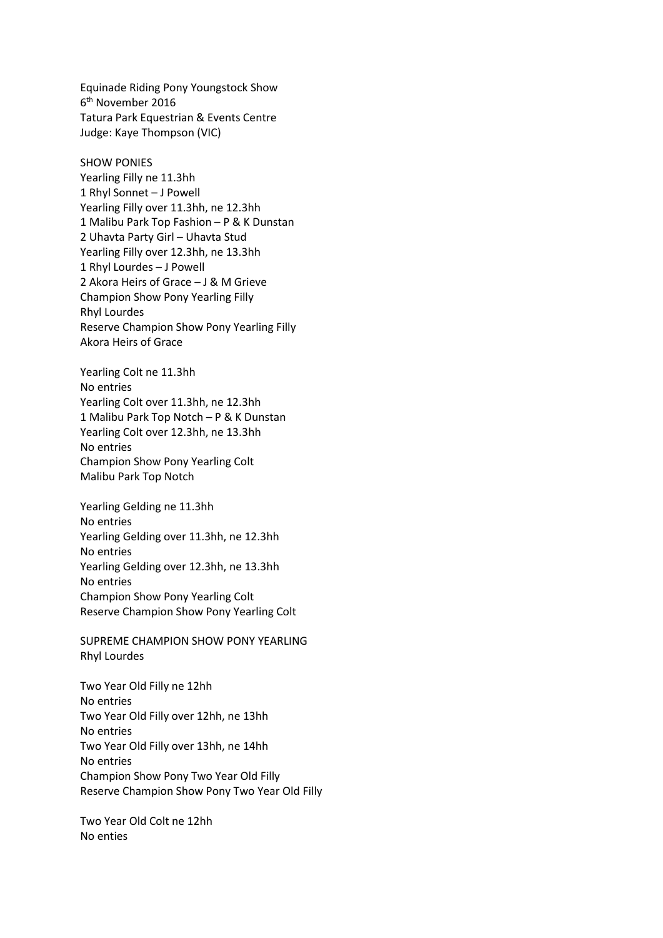Equinade Riding Pony Youngstock Show 6 th November 2016 Tatura Park Equestrian & Events Centre Judge: Kaye Thompson (VIC)

SHOW PONIES

Yearling Filly ne 11.3hh 1 Rhyl Sonnet – J Powell Yearling Filly over 11.3hh, ne 12.3hh 1 Malibu Park Top Fashion – P & K Dunstan 2 Uhavta Party Girl – Uhavta Stud Yearling Filly over 12.3hh, ne 13.3hh 1 Rhyl Lourdes – J Powell 2 Akora Heirs of Grace – J & M Grieve Champion Show Pony Yearling Filly Rhyl Lourdes Reserve Champion Show Pony Yearling Filly Akora Heirs of Grace

Yearling Colt ne 11.3hh No entries Yearling Colt over 11.3hh, ne 12.3hh 1 Malibu Park Top Notch – P & K Dunstan Yearling Colt over 12.3hh, ne 13.3hh No entries Champion Show Pony Yearling Colt Malibu Park Top Notch

Yearling Gelding ne 11.3hh No entries Yearling Gelding over 11.3hh, ne 12.3hh No entries Yearling Gelding over 12.3hh, ne 13.3hh No entries Champion Show Pony Yearling Colt Reserve Champion Show Pony Yearling Colt

SUPREME CHAMPION SHOW PONY YEARLING Rhyl Lourdes

Two Year Old Filly ne 12hh No entries Two Year Old Filly over 12hh, ne 13hh No entries Two Year Old Filly over 13hh, ne 14hh No entries Champion Show Pony Two Year Old Filly Reserve Champion Show Pony Two Year Old Filly

Two Year Old Colt ne 12hh No enties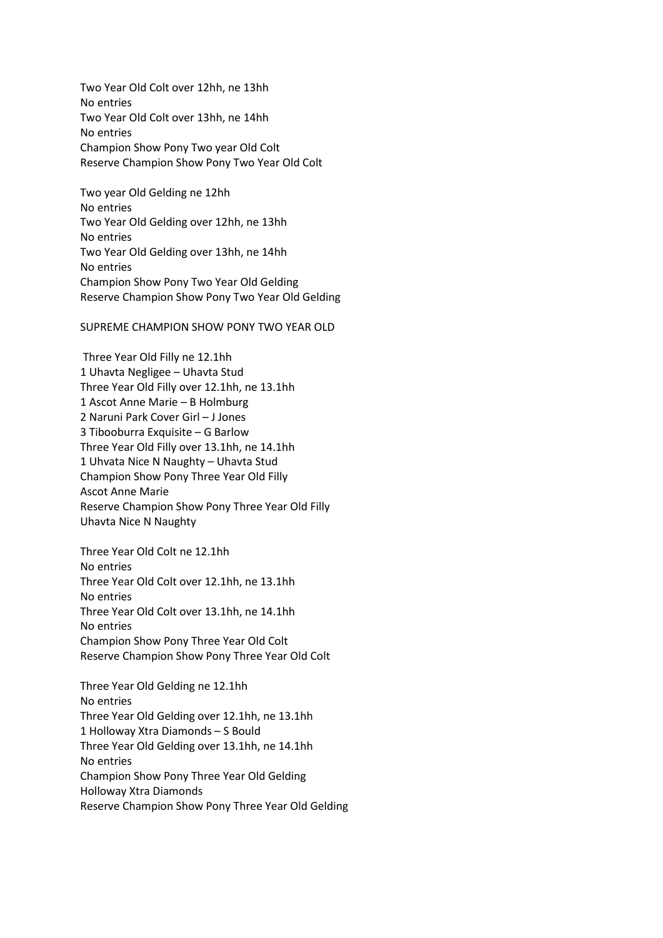Two Year Old Colt over 12hh, ne 13hh No entries Two Year Old Colt over 13hh, ne 14hh No entries Champion Show Pony Two year Old Colt Reserve Champion Show Pony Two Year Old Colt

Two year Old Gelding ne 12hh No entries Two Year Old Gelding over 12hh, ne 13hh No entries Two Year Old Gelding over 13hh, ne 14hh No entries Champion Show Pony Two Year Old Gelding Reserve Champion Show Pony Two Year Old Gelding

SUPREME CHAMPION SHOW PONY TWO YEAR OLD

Three Year Old Filly ne 12.1hh 1 Uhavta Negligee – Uhavta Stud Three Year Old Filly over 12.1hh, ne 13.1hh 1 Ascot Anne Marie – B Holmburg 2 Naruni Park Cover Girl – J Jones 3 Tibooburra Exquisite – G Barlow Three Year Old Filly over 13.1hh, ne 14.1hh 1 Uhvata Nice N Naughty – Uhavta Stud Champion Show Pony Three Year Old Filly Ascot Anne Marie Reserve Champion Show Pony Three Year Old Filly Uhavta Nice N Naughty

Three Year Old Colt ne 12.1hh No entries Three Year Old Colt over 12.1hh, ne 13.1hh No entries Three Year Old Colt over 13.1hh, ne 14.1hh No entries Champion Show Pony Three Year Old Colt Reserve Champion Show Pony Three Year Old Colt

Three Year Old Gelding ne 12.1hh No entries Three Year Old Gelding over 12.1hh, ne 13.1hh 1 Holloway Xtra Diamonds – S Bould Three Year Old Gelding over 13.1hh, ne 14.1hh No entries Champion Show Pony Three Year Old Gelding Holloway Xtra Diamonds Reserve Champion Show Pony Three Year Old Gelding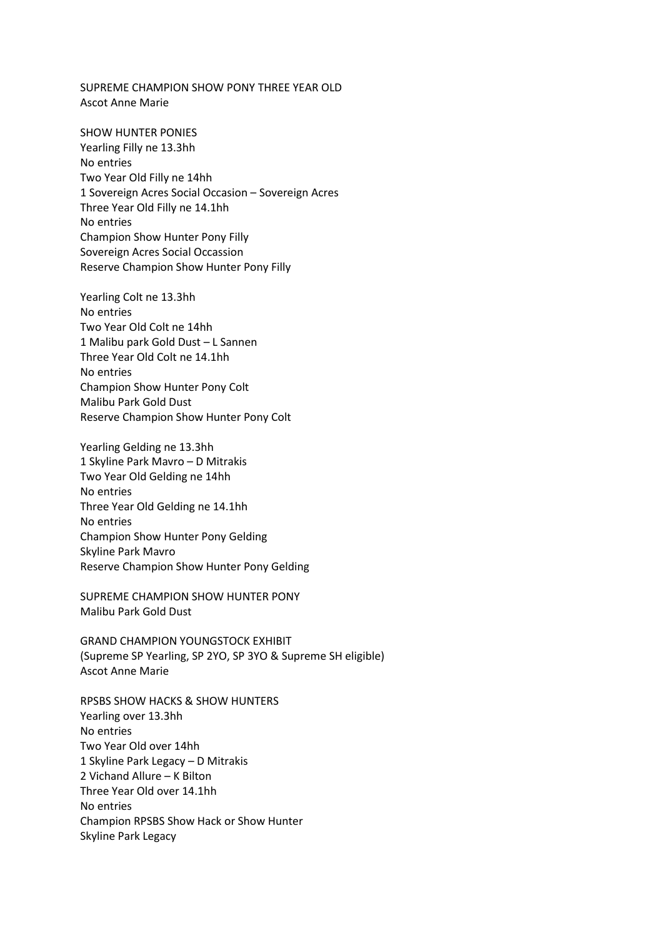SUPREME CHAMPION SHOW PONY THREE YEAR OLD Ascot Anne Marie

SHOW HUNTER PONIES Yearling Filly ne 13.3hh No entries Two Year Old Filly ne 14hh 1 Sovereign Acres Social Occasion – Sovereign Acres Three Year Old Filly ne 14.1hh No entries Champion Show Hunter Pony Filly Sovereign Acres Social Occassion Reserve Champion Show Hunter Pony Filly

Yearling Colt ne 13.3hh No entries Two Year Old Colt ne 14hh 1 Malibu park Gold Dust – L Sannen Three Year Old Colt ne 14.1hh No entries Champion Show Hunter Pony Colt Malibu Park Gold Dust Reserve Champion Show Hunter Pony Colt

Yearling Gelding ne 13.3hh 1 Skyline Park Mavro – D Mitrakis Two Year Old Gelding ne 14hh No entries Three Year Old Gelding ne 14.1hh No entries Champion Show Hunter Pony Gelding Skyline Park Mavro Reserve Champion Show Hunter Pony Gelding

SUPREME CHAMPION SHOW HUNTER PONY Malibu Park Gold Dust

GRAND CHAMPION YOUNGSTOCK EXHIBIT (Supreme SP Yearling, SP 2YO, SP 3YO & Supreme SH eligible) Ascot Anne Marie

RPSBS SHOW HACKS & SHOW HUNTERS Yearling over 13.3hh No entries Two Year Old over 14hh 1 Skyline Park Legacy – D Mitrakis 2 Vichand Allure – K Bilton Three Year Old over 14.1hh No entries Champion RPSBS Show Hack or Show Hunter Skyline Park Legacy